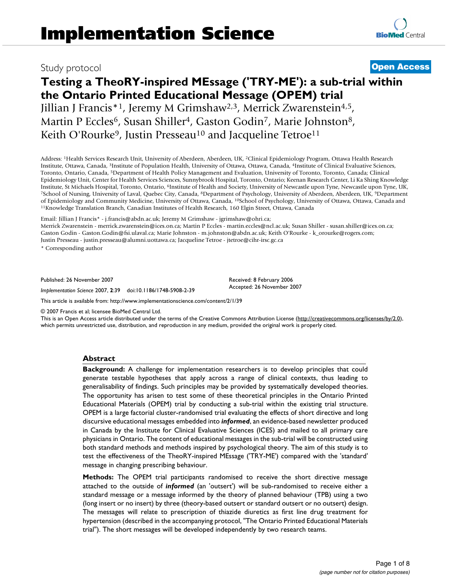## Study protocol **[Open Access](http://www.biomedcentral.com/info/about/charter/)**

# **[BioMed](http://www.biomedcentral.com/)** Central

## **Testing a TheoRY-inspired MEssage ('TRY-ME'): a sub-trial within the Ontario Printed Educational Message (OPEM) trial**

Jillian J Francis<sup>\*1</sup>, Jeremy M Grimshaw<sup>2,3</sup>, Merrick Zwarenstein<sup>4,5</sup>, Martin P Eccles<sup>6</sup>, Susan Shiller<sup>4</sup>, Gaston Godin<sup>7</sup>, Marie Johnston<sup>8</sup>, Keith O'Rourke<sup>9</sup>, Justin Presseau<sup>10</sup> and Jacqueline Tetroe<sup>11</sup>

Address: 1Health Services Research Unit, University of Aberdeen, Aberdeen, UK, 2Clinical Epidemiology Program, Ottawa Health Research Institute, Ottawa, Canada, 3Institute of Population Health, University of Ottawa, Ottawa, Canada, 4Institute of Clinical Evaluative Sciences, Toronto, Ontario, Canada, 5Department of Health Policy Management and Evaluation, University of Toronto, Toronto, Canada; Clinical Epidemiology Unit, Center for Health Services Sciences, Sunnybrook Hospital, Toronto, Ontario; Keenan Research Center, Li Ka Shing Knowledge Institute, St Michaels Hospital, Toronto, Ontario, <sup>6</sup>Institute of Health and Society, University of Newcastle upon Tyne, Newcastle upon Tyne, UK, <sup>9</sup>Department (School of Nursing, University of Laval, Quebec City, Canada, of Epidemiology and Community Medicine, University of Ottawa, Canada, <sup>10</sup>School of Psychology, University of Ottawa, Ottawa, Canada and <sup>11</sup>Knowledge Translation Branch, Canada ind <sup>11</sup>Knowledge Translation Branch, Canadi

Email: Jillian J Francis\* - j.francis@abdn.ac.uk; Jeremy M Grimshaw - jgrimshaw@ohri.ca;

Merrick Zwarenstein - merrick.zwarenstein@ices.on.ca; Martin P Eccles - martin.eccles@ncl.ac.uk; Susan Shiller - susan.shiller@ices.on.ca; Gaston Godin - Gaston.Godin@fsi.ulaval.ca; Marie Johnston - m.johnston@abdn.ac.uk; Keith O'Rourke - k\_orourke@rogers.com; Justin Presseau - justin.presseau@alumni.uottawa.ca; Jacqueline Tetroe - jtetroe@cihr-irsc.gc.ca

\* Corresponding author

Published: 26 November 2007

*Implementation Science* 2007, **2**:39 doi:10.1186/1748-5908-2-39

Received: 8 February 2006 Accepted: 26 November 2007

This article is available from: http://www.implementationscience.com/content/2/1/39

© 2007 Francis et al; licensee BioMed Central Ltd.

This is an Open Access article distributed under the terms of the Creative Commons Attribution License (http://creativecommons.org/licenses/by/2.0), which permits unrestricted use, distribution, and reproduction in any medium, provided the original work is properly cited.

#### **Abstract**

**Background:** A challenge for implementation researchers is to develop principles that could generate testable hypotheses that apply across a range of clinical contexts, thus leading to generalisability of findings. Such principles may be provided by systematically developed theories. The opportunity has arisen to test some of these theoretical principles in the Ontario Printed Educational Materials (OPEM) trial by conducting a sub-trial within the existing trial structure. OPEM is a large factorial cluster-randomised trial evaluating the effects of short directive and long discursive educational messages embedded into *informed*, an evidence-based newsletter produced in Canada by the Institute for Clinical Evaluative Sciences (ICES) and mailed to all primary care physicians in Ontario. The content of educational messages in the sub-trial will be constructed using both standard methods and methods inspired by psychological theory. The aim of this study is to test the effectiveness of the TheoRY-inspired MEssage ('TRY-ME') compared with the 'standard' message in changing prescribing behaviour.

**Methods:** The OPEM trial participants randomised to receive the short directive message attached to the outside of *informed* (an 'outsert') will be sub-randomised to receive either a standard message or a message informed by the theory of planned behaviour (TPB) using a two (long insert or no insert) by three (theory-based outsert or standard outsert or no outsert) design. The messages will relate to prescription of thiazide diuretics as first line drug treatment for hypertension (described in the accompanying protocol, "The Ontario Printed Educational Materials trial"). The short messages will be developed independently by two research teams.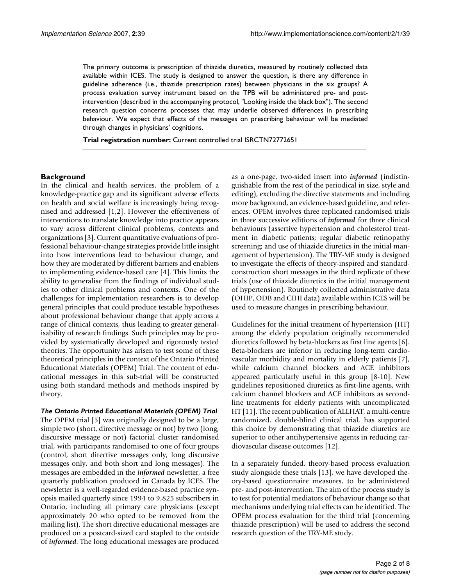The primary outcome is prescription of thiazide diuretics, measured by routinely collected data available within ICES. The study is designed to answer the question, is there any difference in guideline adherence (i.e., thiazide prescription rates) between physicians in the six groups? A process evaluation survey instrument based on the TPB will be administered pre- and postintervention (described in the accompanying protocol, "Looking inside the black box"). The second research question concerns processes that may underlie observed differences in prescribing behaviour. We expect that effects of the messages on prescribing behaviour will be mediated through changes in physicians' cognitions.

**Trial registration number:** Current controlled trial ISRCTN72772651

#### **Background**

In the clinical and health services, the problem of a knowledge-practice gap and its significant adverse effects on health and social welfare is increasingly being recognised and addressed [1,2]. However the effectiveness of interventions to translate knowledge into practice appears to vary across different clinical problems, contexts and organizations [3]. Current quantitative evaluations of professional behaviour-change strategies provide little insight into how interventions lead to behaviour change, and how they are moderated by different barriers and enablers to implementing evidence-based care [4]. This limits the ability to generalise from the findings of individual studies to other clinical problems and contexts. One of the challenges for implementation researchers is to develop general principles that could produce testable hypotheses about professional behaviour change that apply across a range of clinical contexts, thus leading to greater generalisability of research findings. Such principles may be provided by systematically developed and rigorously tested theories. The opportunity has arisen to test some of these theoretical principles in the context of the Ontario Printed Educational Materials (OPEM) Trial. The content of educational messages in this sub-trial will be constructed using both standard methods and methods inspired by theory.

*The Ontario Printed Educational Materials (OPEM) Trial* The OPEM trial [5] was originally designed to be a large, simple two (short, directive message or not) by two (long, discursive message or not) factorial cluster randomised trial, with participants randomised to one of four groups (control, short directive messages only, long discursive messages only, and both short and long messages). The messages are embedded in the *informed* newsletter, a free quarterly publication produced in Canada by ICES. The newsletter is a well-regarded evidence-based practice synopsis mailed quarterly since 1994 to 9,825 subscribers in Ontario, including all primary care physicians (except approximately 20 who opted to be removed from the mailing list). The short directive educational messages are produced on a postcard-sized card stapled to the outside of *informed*. The long educational messages are produced as a one-page, two-sided insert into *informed* (indistinguishable from the rest of the periodical in size, style and editing), excluding the directive statements and including more background, an evidence-based guideline, and references. OPEM involves three replicated randomised trials in three successive editions of *informed* for three clinical behaviours (assertive hypertension and cholesterol treatment in diabetic patients; regular diabetic retinopathy screening; and use of thiazide diuretics in the initial management of hypertension). The TRY-ME study is designed to investigate the effects of theory-inspired and standardconstruction short messages in the third replicate of these trials (use of thiazide diuretics in the initial management of hypertension). Routinely collected administrative data (OHIP, ODB and CIHI data) available within ICES will be used to measure changes in prescribing behaviour.

Guidelines for the initial treatment of hypertension (HT) among the elderly population originally recommended diuretics followed by beta-blockers as first line agents [6]. Beta-blockers are inferior in reducing long-term cardiovascular morbidity and mortality in elderly patients [7], while calcium channel blockers and ACE inhibitors appeared particularly useful in this group [8-10]. New guidelines repositioned diuretics as first-line agents, with calcium channel blockers and ACE inhibitors as secondline treatments for elderly patients with uncomplicated HT [11]. The recent publication of ALLHAT, a multi-centre randomized, double-blind clinical trial, has supported this choice by demonstrating that thiazide diuretics are superior to other antihypertensive agents in reducing cardiovascular disease outcomes [12].

In a separately funded, theory-based process evaluation study alongside these trials [13], we have developed theory-based questionnaire measures, to be administered pre- and post-intervention. The aim of the process study is to test for potential mediators of behaviour change so that mechanisms underlying trial effects can be identified. The OPEM process evaluation for the third trial (concerning thiazide prescription) will be used to address the second research question of the TRY-ME study.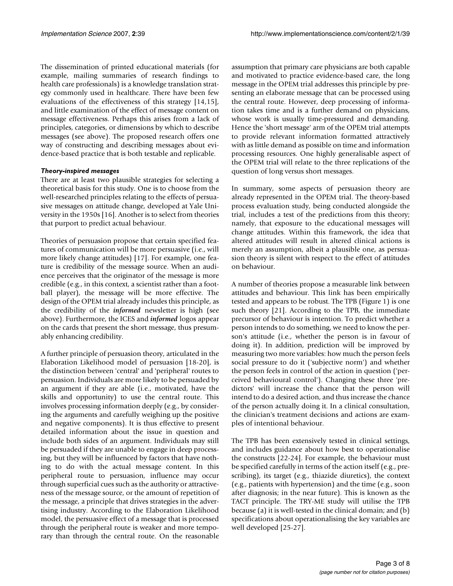The dissemination of printed educational materials (for example, mailing summaries of research findings to health care professionals) is a knowledge translation strategy commonly used in healthcare. There have been few evaluations of the effectiveness of this strategy [14,15], and little examination of the effect of message content on message effectiveness. Perhaps this arises from a lack of principles, categories, or dimensions by which to describe messages (see above). The proposed research offers one way of constructing and describing messages about evidence-based practice that is both testable and replicable.

#### *Theory-inspired messages*

There are at least two plausible strategies for selecting a theoretical basis for this study. One is to choose from the well-researched principles relating to the effects of persuasive messages on attitude change, developed at Yale University in the 1950s [16]. Another is to select from theories that purport to predict actual behaviour.

Theories of persuasion propose that certain specified features of communication will be more persuasive (i.e., will more likely change attitudes) [17]. For example, one feature is credibility of the message source. When an audience perceives that the originator of the message is more credible (e.g., in this context, a scientist rather than a football player), the message will be more effective. The design of the OPEM trial already includes this principle, as the credibility of the *informed* newsletter is high (see above). Furthermore, the ICES and *informed* logos appear on the cards that present the short message, thus presumably enhancing credibility.

A further principle of persuasion theory, articulated in the Elaboration Likelihood model of persuasion [18-20], is the distinction between 'central' and 'peripheral' routes to persuasion. Individuals are more likely to be persuaded by an argument if they are able (i.e., motivated, have the skills and opportunity) to use the central route. This involves processing information deeply (e.g., by considering the arguments and carefully weighing up the positive and negative components). It is thus effective to present detailed information about the issue in question and include both sides of an argument. Individuals may still be persuaded if they are unable to engage in deep processing, but they will be influenced by factors that have nothing to do with the actual message content. In this peripheral route to persuasion, influence may occur through superficial cues such as the authority or attractiveness of the message source, or the amount of repetition of the message, a principle that drives strategies in the advertising industry. According to the Elaboration Likelihood model, the persuasive effect of a message that is processed through the peripheral route is weaker and more temporary than through the central route. On the reasonable

assumption that primary care physicians are both capable and motivated to practice evidence-based care, the long message in the OPEM trial addresses this principle by presenting an elaborate message that can be processed using the central route. However, deep processing of information takes time and is a further demand on physicians, whose work is usually time-pressured and demanding. Hence the 'short message' arm of the OPEM trial attempts to provide relevant information formatted attractively with as little demand as possible on time and information processing resources. One highly generalisable aspect of the OPEM trial will relate to the three replications of the question of long versus short messages.

In summary, some aspects of persuasion theory are already represented in the OPEM trial. The theory-based process evaluation study, being conducted alongside the trial, includes a test of the predictions from this theory; namely, that exposure to the educational messages will change attitudes. Within this framework, the idea that altered attitudes will result in altered clinical actions is merely an assumption, albeit a plausible one, as persuasion theory is silent with respect to the effect of attitudes on behaviour.

A number of theories propose a measurable link between attitudes and behaviour. This link has been empirically tested and appears to be robust. The TPB (Figure 1) is one such theory [21]. According to the TPB, the immediate precursor of behaviour is intention. To predict whether a person intends to do something, we need to know the person's attitude (i.e., whether the person is in favour of doing it). In addition, prediction will be improved by measuring two more variables: how much the person feels social pressure to do it ('subjective norm') and whether the person feels in control of the action in question ('perceived behavioural control'). Changing these three 'predictors' will increase the chance that the person will intend to do a desired action, and thus increase the chance of the person actually doing it. In a clinical consultation, the clinician's treatment decisions and actions are examples of intentional behaviour.

The TPB has been extensively tested in clinical settings, and includes guidance about how best to operationalise the constructs [22-24]. For example, the behaviour must be specified carefully in terms of the action itself (e.g., prescribing), its target (e.g., thiazide diuretics), the context (e.g., patients with hypertension) and the time (e.g., soon after diagnosis; in the near future). This is known as the TACT principle. The TRY-ME study will utilise the TPB because (a) it is well-tested in the clinical domain; and (b) specifications about operationalising the key variables are well developed [25-27].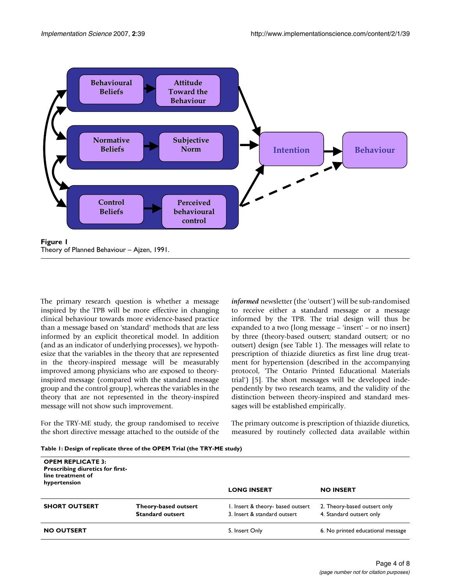

The primary research question is whether a message inspired by the TPB will be more effective in changing clinical behaviour towards more evidence-based practice than a message based on 'standard' methods that are less informed by an explicit theoretical model. In addition (and as an indicator of underlying processes), we hypothesize that the variables in the theory that are represented in the theory-inspired message will be measurably improved among physicians who are exposed to theoryinspired message (compared with the standard message group and the control group), whereas the variables in the theory that are not represented in the theory-inspired message will not show such improvement.

For the TRY-ME study, the group randomised to receive the short directive message attached to the outside of the *informed* newsletter (the 'outsert') will be sub-randomised to receive either a standard message or a message informed by the TPB. The trial design will thus be expanded to a two (long message – 'insert' – or no insert) by three (theory-based outsert; standard outsert; or no outsert) design (see Table 1). The messages will relate to prescription of thiazide diuretics as first line drug treatment for hypertension (described in the accompanying protocol, 'The Ontario Printed Educational Materials trial') [5]. The short messages will be developed independently by two research teams, and the validity of the distinction between theory-inspired and standard messages will be established empirically.

The primary outcome is prescription of thiazide diuretics, measured by routinely collected data available within

|  |  | Table 1: Design of replicate three of the OPEM Trial (the TRY-ME study) |  |
|--|--|-------------------------------------------------------------------------|--|
|  |  |                                                                         |  |

| <b>OPEM REPLICATE 3:</b><br><b>Prescribing diuretics for first-</b><br>line treatment of<br>hypertension |                                                 | <b>LONG INSERT</b>                                                | <b>NO INSERT</b>                                         |
|----------------------------------------------------------------------------------------------------------|-------------------------------------------------|-------------------------------------------------------------------|----------------------------------------------------------|
| <b>SHORT OUTSERT</b>                                                                                     | Theory-based outsert<br><b>Standard outsert</b> | I. Insert & theory- based outsert<br>3. Insert & standard outsert | 2. Theory-based outsert only<br>4. Standard outsert only |
| <b>NO OUTSERT</b>                                                                                        |                                                 | 5. Insert Only                                                    | 6. No printed educational message                        |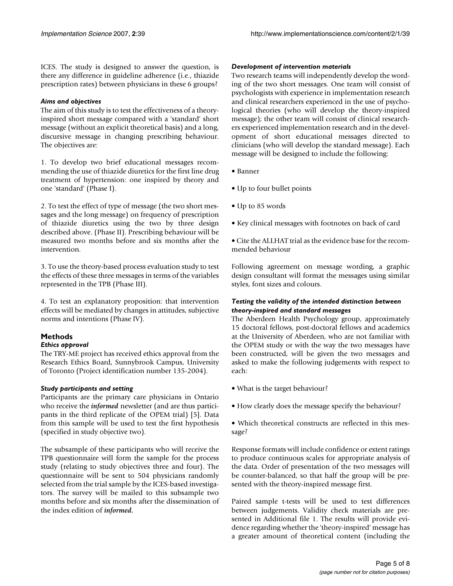ICES. The study is designed to answer the question, is there any difference in guideline adherence (i.e., thiazide prescription rates) between physicians in these 6 groups?

#### *Aims and objectives*

The aim of this study is to test the effectiveness of a theoryinspired short message compared with a 'standard' short message (without an explicit theoretical basis) and a long, discursive message in changing prescribing behaviour. The objectives are:

1. To develop two brief educational messages recommending the use of thiazide diuretics for the first line drug treatment of hypertension: one inspired by theory and one 'standard' (Phase I).

2. To test the effect of type of message (the two short messages and the long message) on frequency of prescription of thiazide diuretics using the two by three design described above. (Phase II). Prescribing behaviour will be measured two months before and six months after the intervention.

3. To use the theory-based process evaluation study to test the effects of these three messages in terms of the variables represented in the TPB (Phase III).

4. To test an explanatory proposition: that intervention effects will be mediated by changes in attitudes, subjective norms and intentions (Phase IV).

#### **Methods**

#### *Ethics approval*

The TRY-ME project has received ethics approval from the Research Ethics Board, Sunnybrook Campus, University of Toronto (Project identification number 135-2004).

#### *Study participants and setting*

Participants are the primary care physicians in Ontario who receive the *informed* newsletter (and are thus participants in the third replicate of the OPEM trial) [5]. Data from this sample will be used to test the first hypothesis (specified in study objective two).

The subsample of these participants who will receive the TPB questionnaire will form the sample for the process study (relating to study objectives three and four). The questionnaire will be sent to 504 physicians randomly selected from the trial sample by the ICES-based investigators. The survey will be mailed to this subsample two months before and six months after the dissemination of the index edition of *informed***.**

#### *Development of intervention materials*

Two research teams will independently develop the wording of the two short messages. One team will consist of psychologists with experience in implementation research and clinical researchers experienced in the use of psychological theories (who will develop the theory-inspired message); the other team will consist of clinical researchers experienced implementation research and in the development of short educational messages directed to clinicians (who will develop the standard message). Each message will be designed to include the following:

- Banner
- Up to four bullet points
- Up to 85 words
- Key clinical messages with footnotes on back of card
- Cite the ALLHAT trial as the evidence base for the recommended behaviour

Following agreement on message wording, a graphic design consultant will format the messages using similar styles, font sizes and colours.

#### *Testing the validity of the intended distinction between theory-inspired and standard messages*

The Aberdeen Health Psychology group, approximately 15 doctoral fellows, post-doctoral fellows and academics at the University of Aberdeen, who are not familiar with the OPEM study or with the way the two messages have been constructed, will be given the two messages and asked to make the following judgements with respect to each:

- What is the target behaviour?
- How clearly does the message specify the behaviour?

• Which theoretical constructs are reflected in this message?

Response formats will include confidence or extent ratings to produce continuous scales for appropriate analysis of the data. Order of presentation of the two messages will be counter-balanced, so that half the group will be presented with the theory-inspired message first.

Paired sample t-tests will be used to test differences between judgements. Validity check materials are presented in Additional file 1. The results will provide evidence regarding whether the 'theory-inspired' message has a greater amount of theoretical content (including the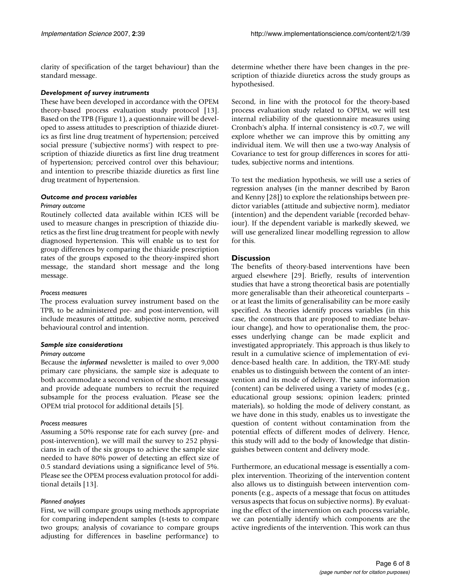clarity of specification of the target behaviour) than the standard message.

#### *Development of survey instruments*

These have been developed in accordance with the OPEM theory-based process evaluation study protocol [13]. Based on the TPB (Figure 1), a questionnaire will be developed to assess attitudes to prescription of thiazide diuretics as first line drug treatment of hypertension; perceived social pressure ('subjective norms') with respect to prescription of thiazide diuretics as first line drug treatment of hypertension; perceived control over this behaviour; and intention to prescribe thiazide diuretics as first line drug treatment of hypertension.

#### *Outcome and process variables*

#### *Primary outcome*

Routinely collected data available within ICES will be used to measure changes in prescription of thiazide diuretics as the first line drug treatment for people with newly diagnosed hypertension. This will enable us to test for group differences by comparing the thiazide prescription rates of the groups exposed to the theory-inspired short message, the standard short message and the long message.

#### *Process measures*

The process evaluation survey instrument based on the TPB, to be administered pre- and post-intervention, will include measures of attitude, subjective norm, perceived behavioural control and intention.

#### *Sample size considerations*

#### *Primary outcome*

Because the *informed* newsletter is mailed to over 9,000 primary care physicians, the sample size is adequate to both accommodate a second version of the short message and provide adequate numbers to recruit the required subsample for the process evaluation. Please see the OPEM trial protocol for additional details [5].

#### *Process measures*

Assuming a 50% response rate for each survey (pre- and post-intervention), we will mail the survey to 252 physicians in each of the six groups to achieve the sample size needed to have 80% power of detecting an effect size of 0.5 standard deviations using a significance level of 5%. Please see the OPEM process evaluation protocol for additional details [13].

#### *Planned analyses*

First, we will compare groups using methods appropriate for comparing independent samples (t-tests to compare two groups; analysis of covariance to compare groups adjusting for differences in baseline performance) to

determine whether there have been changes in the prescription of thiazide diuretics across the study groups as hypothesised.

Second, in line with the protocol for the theory-based process evaluation study related to OPEM, we will test internal reliability of the questionnaire measures using Cronbach's alpha. If internal consistency is <0.7, we will explore whether we can improve this by omitting any individual item. We will then use a two-way Analysis of Covariance to test for group differences in scores for attitudes, subjective norms and intentions.

To test the mediation hypothesis, we will use a series of regression analyses (in the manner described by Baron and Kenny [28]) to explore the relationships between predictor variables (attitude and subjective norm), mediator (intention) and the dependent variable (recorded behaviour). If the dependent variable is markedly skewed, we will use generalized linear modelling regression to allow for this.

#### **Discussion**

The benefits of theory-based interventions have been argued elsewhere [29]. Briefly, results of intervention studies that have a strong theoretical basis are potentially more generalisable than their atheoretical counterparts – or at least the limits of generalisability can be more easily specified. As theories identify process variables (in this case, the constructs that are proposed to mediate behaviour change), and how to operationalise them, the processes underlying change can be made explicit and investigated appropriately. This approach is thus likely to result in a cumulative science of implementation of evidence-based health care. In addition, the TRY-ME study enables us to distinguish between the content of an intervention and its mode of delivery. The same information (content) can be delivered using a variety of modes (e.g., educational group sessions; opinion leaders; printed materials), so holding the mode of delivery constant, as we have done in this study, enables us to investigate the question of content without contamination from the potential effects of different modes of delivery. Hence, this study will add to the body of knowledge that distinguishes between content and delivery mode.

Furthermore, an educational message is essentially a complex intervention. Theorizing of the intervention content also allows us to distinguish between intervention components (e.g., aspects of a message that focus on attitudes versus aspects that focus on subjective norms). By evaluating the effect of the intervention on each process variable, we can potentially identify which components are the active ingredients of the intervention. This work can thus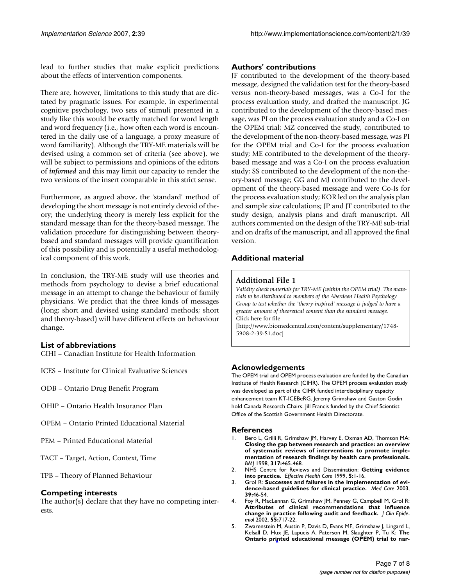lead to further studies that make explicit predictions about the effects of intervention components.

There are, however, limitations to this study that are dictated by pragmatic issues. For example, in experimental cognitive psychology, two sets of stimuli presented in a study like this would be exactly matched for word length and word frequency (i.e., how often each word is encountered in the daily use of a language, a proxy measure of word familiarity). Although the TRY-ME materials will be devised using a common set of criteria (see above), we will be subject to permissions and opinions of the editors of *informed* and this may limit our capacity to render the two versions of the insert comparable in this strict sense.

Furthermore, as argued above, the 'standard' method of developing the short message is not entirely devoid of theory; the underlying theory is merely less explicit for the standard message than for the theory-based message. The validation procedure for distinguishing between theorybased and standard messages will provide quantification of this possibility and is potentially a useful methodological component of this work.

In conclusion, the TRY-ME study will use theories and methods from psychology to devise a brief educational message in an attempt to change the behaviour of family physicians. We predict that the three kinds of messages (long; short and devised using standard methods; short and theory-based) will have different effects on behaviour change.

#### **List of abbreviations**

CIHI – Canadian Institute for Health Information

- ICES Institute for Clinical Evaluative Sciences
- ODB Ontario Drug Benefit Program
- OHIP Ontario Health Insurance Plan
- OPEM Ontario Printed Educational Material
- PEM Printed Educational Material
- TACT Target, Action, Context, Time
- TPB Theory of Planned Behaviour

#### **Competing interests**

The author(s) declare that they have no competing interests.

#### **Authors' contributions**

JF contributed to the development of the theory-based message, designed the validation test for the theory-based versus non-theory-based messages, was a Co-I for the process evaluation study, and drafted the manuscript. JG contributed to the development of the theory-based message, was PI on the process evaluation study and a Co-I on the OPEM trial; MZ conceived the study, contributed to the development of the non-theory-based message, was PI for the OPEM trial and Co-I for the process evaluation study; ME contributed to the development of the theorybased message and was a Co-I on the process evaluation study; SS contributed to the development of the non-theory-based message; GG and MJ contributed to the development of the theory-based message and were Co-Is for the process evaluation study; KOR led on the analysis plan and sample size calculations; JP and JT contributed to the study design, analysis plans and draft manuscript. All authors commented on the design of the TRY-ME sub-trial and on drafts of the manuscript, and all approved the final version.

### **Additional material**

#### **Additional File 1**

*Validity check materials for TRY-ME (within the OPEM trial). The materials to be distributed to members of the Aberdeen Health Psychology Group to test whether the 'theory-inspired' message is judged to have a greater amount of theoretical content than the standard message.* Click here for file

[http://www.biomedcentral.com/content/supplementary/1748- 5908-2-39-S1.doc]

#### **Acknowledgements**

The OPEM trial and OPEM process evaluation are funded by the Canadian Institute of Health Research (CIHR). The OPEM process evaluation study was developed as part of the CIHR funded interdisciplinary capacity enhancement team KT-ICEBeRG. Jeremy Grimshaw and Gaston Godin hold Canada Research Chairs. Jill Francis funded by the Chief Scientist Office of the Scottish Government Health Directorate.

#### **References**

- 1. Bero L, Grilli R, Grimshaw JM, Harvey E, Oxman AD, Thomson MA: **Closing the gap between research and practice: an overview of systematic reviews of interventions to promote implementation of research findings by health care professionals.** *BMJ* 1998, **317:**465-468.
- 2. NHS Centre for Reviews and Dissemination: **Getting evidence into practice.** *Effective Health Care* 1999, **5:**1-16.
- 3. Grol R: **Successes and failures in the implementation of evidence-based guidelines for clinical practice.** *Med Care* 2003, **39:**46-54.
- 4. Foy R, MacLennan G, Grimshaw JM, Penney G, Campbell M, Grol R: **Attributes of clinical recommendations that influence change in practice following audit and feedback.** *J Clin Epidemiol* 2002, **55:**717-22.
- 5. Zwarenstein M, Austin P, Davis D, Evans MF, Grimshaw J, Lingard L, Kelsall D, Hux JE, Lapucis A, Paterson M, Slaughter P, Tu K: **The Ontario printed educational message (OPEM) trial to nar-**